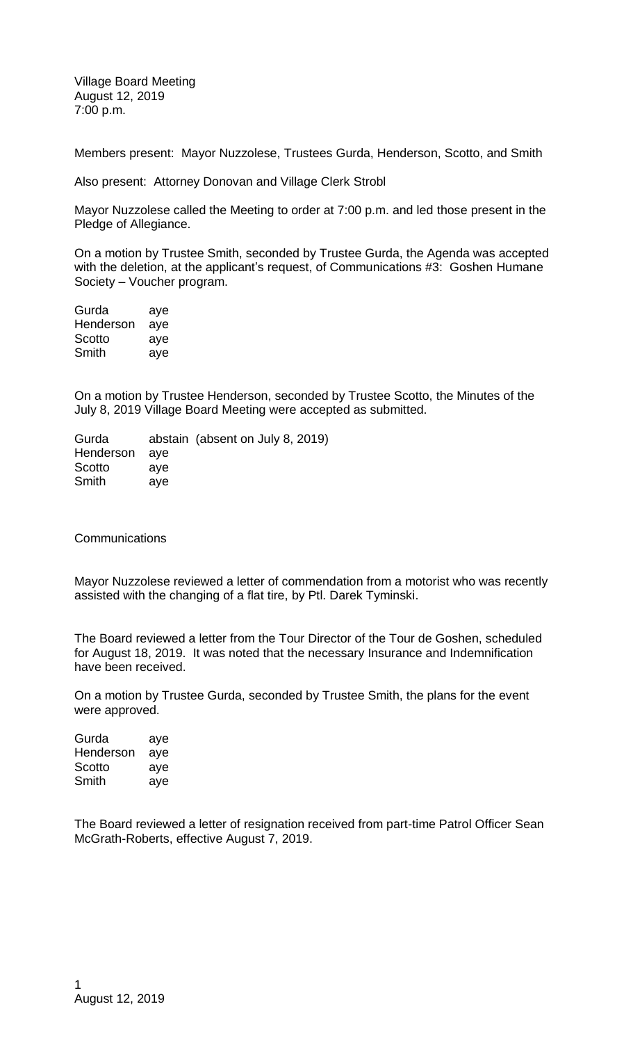Village Board Meeting August 12, 2019 7:00 p.m.

Members present: Mayor Nuzzolese, Trustees Gurda, Henderson, Scotto, and Smith

Also present: Attorney Donovan and Village Clerk Strobl

Mayor Nuzzolese called the Meeting to order at 7:00 p.m. and led those present in the Pledge of Allegiance.

On a motion by Trustee Smith, seconded by Trustee Gurda, the Agenda was accepted with the deletion, at the applicant's request, of Communications #3: Goshen Humane Society – Voucher program.

Gurda aye Henderson aye Scotto aye Smith aye

On a motion by Trustee Henderson, seconded by Trustee Scotto, the Minutes of the July 8, 2019 Village Board Meeting were accepted as submitted.

Gurda abstain (absent on July 8, 2019) Henderson aye Scotto aye Smith aye

**Communications** 

Mayor Nuzzolese reviewed a letter of commendation from a motorist who was recently assisted with the changing of a flat tire, by Ptl. Darek Tyminski.

The Board reviewed a letter from the Tour Director of the Tour de Goshen, scheduled for August 18, 2019. It was noted that the necessary Insurance and Indemnification have been received.

On a motion by Trustee Gurda, seconded by Trustee Smith, the plans for the event were approved.

Gurda aye Henderson aye Scotto aye Smith aye

The Board reviewed a letter of resignation received from part-time Patrol Officer Sean McGrath-Roberts, effective August 7, 2019.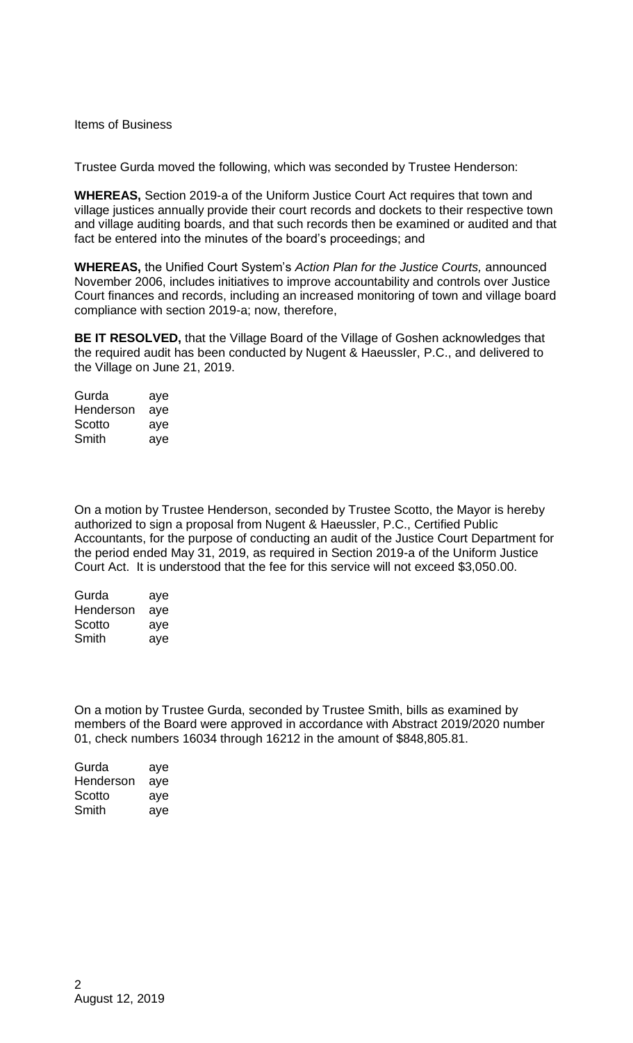## Items of Business

Trustee Gurda moved the following, which was seconded by Trustee Henderson:

**WHEREAS,** Section 2019-a of the Uniform Justice Court Act requires that town and village justices annually provide their court records and dockets to their respective town and village auditing boards, and that such records then be examined or audited and that fact be entered into the minutes of the board's proceedings; and

**WHEREAS,** the Unified Court System's *Action Plan for the Justice Courts,* announced November 2006, includes initiatives to improve accountability and controls over Justice Court finances and records, including an increased monitoring of town and village board compliance with section 2019-a; now, therefore,

**BE IT RESOLVED,** that the Village Board of the Village of Goshen acknowledges that the required audit has been conducted by Nugent & Haeussler, P.C., and delivered to the Village on June 21, 2019.

| Gurda     | aye |
|-----------|-----|
| Henderson | aye |
| Scotto    | aye |
| Smith     | aye |

On a motion by Trustee Henderson, seconded by Trustee Scotto, the Mayor is hereby authorized to sign a proposal from Nugent & Haeussler, P.C., Certified Public Accountants, for the purpose of conducting an audit of the Justice Court Department for the period ended May 31, 2019, as required in Section 2019-a of the Uniform Justice Court Act. It is understood that the fee for this service will not exceed \$3,050.00.

| Gurda     | aye |
|-----------|-----|
| Henderson | aye |
| Scotto    | aye |
| Smith     | aye |

On a motion by Trustee Gurda, seconded by Trustee Smith, bills as examined by members of the Board were approved in accordance with Abstract 2019/2020 number 01, check numbers 16034 through 16212 in the amount of \$848,805.81.

| Gurda     | aye |
|-----------|-----|
| Henderson | aye |
| Scotto    | aye |
| Smith     | aye |